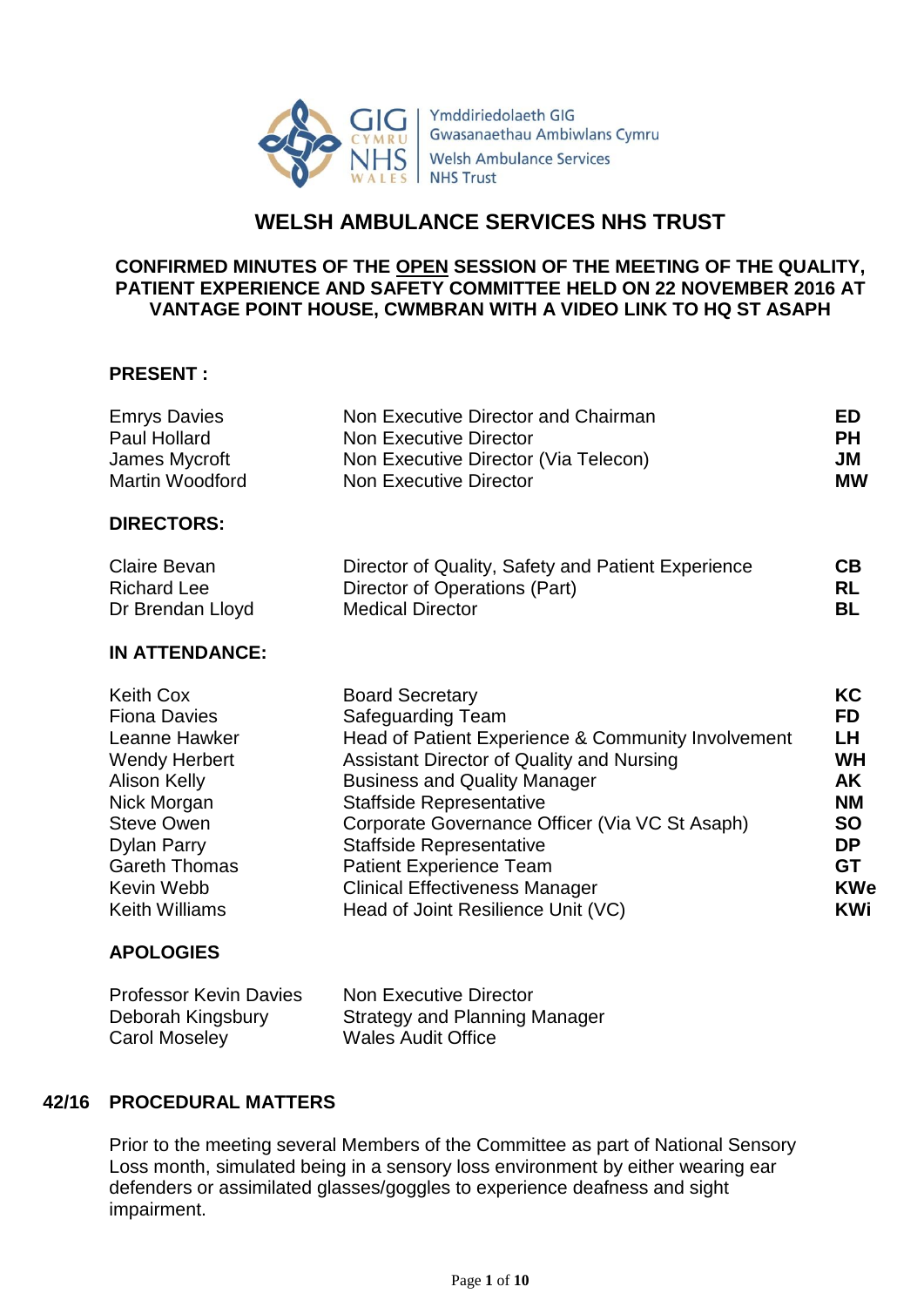

Ymddiriedolaeth GIG Gwasanaethau Ambiwlans Cymru **Welsh Ambulance Services NHS Trust** 

# **WELSH AMBULANCE SERVICES NHS TRUST**

### **CONFIRMED MINUTES OF THE OPEN SESSION OF THE MEETING OF THE QUALITY, PATIENT EXPERIENCE AND SAFETY COMMITTEE HELD ON 22 NOVEMBER 2016 AT VANTAGE POINT HOUSE, CWMBRAN WITH A VIDEO LINK TO HQ ST ASAPH**

### **PRESENT :**

| <b>Emrys Davies</b>   | Non Executive Director and Chairman                | ED         |
|-----------------------|----------------------------------------------------|------------|
| Paul Hollard          | <b>Non Executive Director</b>                      | <b>PH</b>  |
| James Mycroft         | Non Executive Director (Via Telecon)               | JM         |
| Martin Woodford       | <b>Non Executive Director</b>                      | <b>MW</b>  |
| <b>DIRECTORS:</b>     |                                                    |            |
| Claire Bevan          | Director of Quality, Safety and Patient Experience | <b>CB</b>  |
| <b>Richard Lee</b>    | Director of Operations (Part)                      | <b>RL</b>  |
| Dr Brendan Lloyd      | <b>Medical Director</b>                            | <b>BL</b>  |
| <b>IN ATTENDANCE:</b> |                                                    |            |
| <b>Keith Cox</b>      | <b>Board Secretary</b>                             | KC         |
| <b>Fiona Davies</b>   | Safeguarding Team                                  | <b>FD</b>  |
| Leanne Hawker         | Head of Patient Experience & Community Involvement | LH.        |
| <b>Wendy Herbert</b>  | Assistant Director of Quality and Nursing          | <b>WH</b>  |
| <b>Alison Kelly</b>   | <b>Business and Quality Manager</b>                | AK         |
| Nick Morgan           | Staffside Representative                           | <b>NM</b>  |
| <b>Steve Owen</b>     | Corporate Governance Officer (Via VC St Asaph)     | <b>SO</b>  |
| Dylan Parry           | Staffside Representative                           | <b>DP</b>  |
| <b>Gareth Thomas</b>  | <b>Patient Experience Team</b>                     | <b>GT</b>  |
| Kevin Webb            | <b>Clinical Effectiveness Manager</b>              | <b>KWe</b> |
| <b>Keith Williams</b> | Head of Joint Resilience Unit (VC)                 | KWi        |

# **APOLOGIES**

| <b>Professor Kevin Davies</b> | Non Executive Director               |
|-------------------------------|--------------------------------------|
| Deborah Kingsbury             | <b>Strategy and Planning Manager</b> |
| Carol Moseley                 | <b>Wales Audit Office</b>            |

# **42/16 PROCEDURAL MATTERS**

Prior to the meeting several Members of the Committee as part of National Sensory Loss month, simulated being in a sensory loss environment by either wearing ear defenders or assimilated glasses/goggles to experience deafness and sight impairment.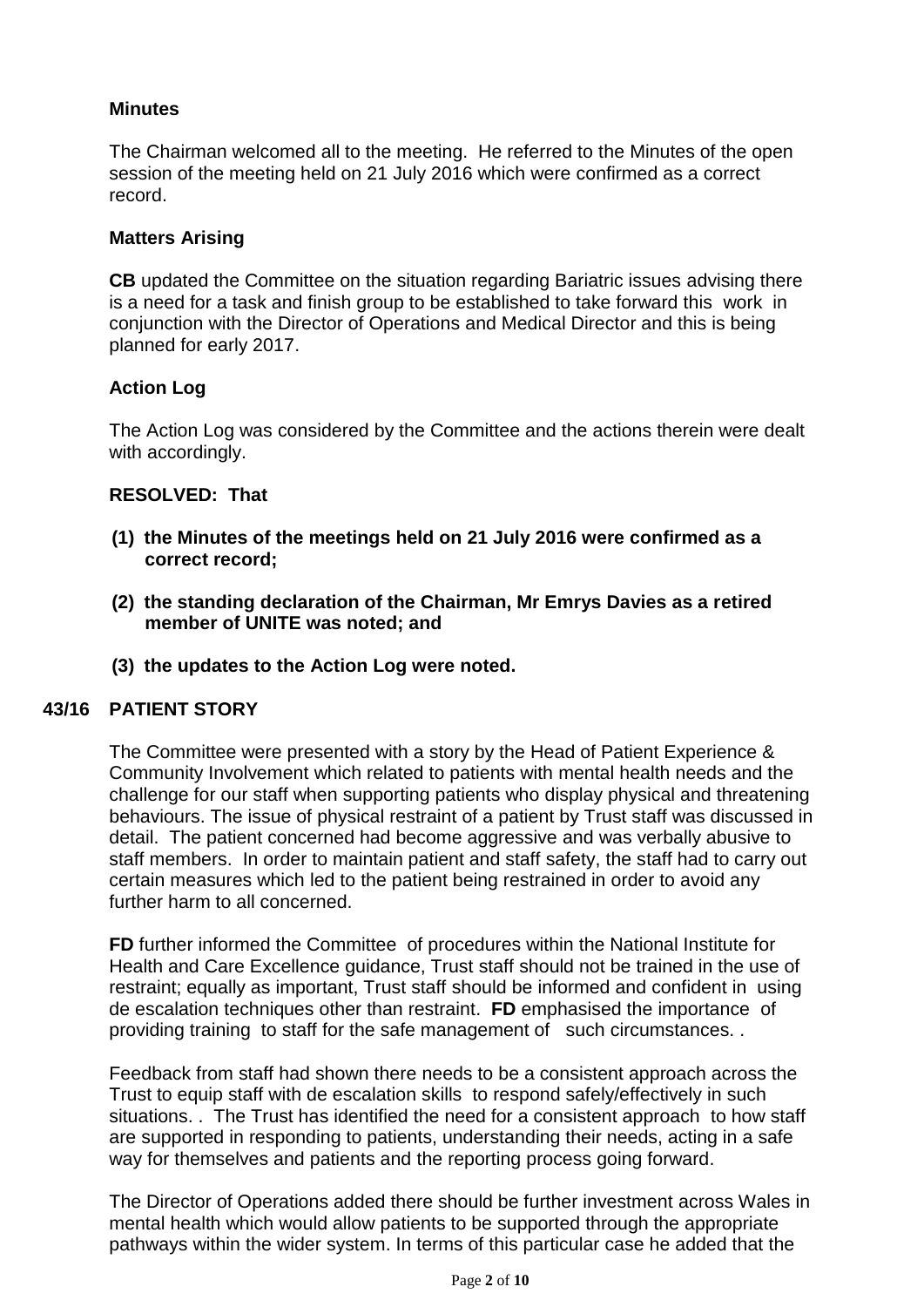# **Minutes**

The Chairman welcomed all to the meeting. He referred to the Minutes of the open session of the meeting held on 21 July 2016 which were confirmed as a correct record.

### **Matters Arising**

**CB** updated the Committee on the situation regarding Bariatric issues advising there is a need for a task and finish group to be established to take forward this work in conjunction with the Director of Operations and Medical Director and this is being planned for early 2017.

# **Action Log**

The Action Log was considered by the Committee and the actions therein were dealt with accordingly.

### **RESOLVED: That**

- **(1) the Minutes of the meetings held on 21 July 2016 were confirmed as a correct record;**
- **(2) the standing declaration of the Chairman, Mr Emrys Davies as a retired member of UNITE was noted; and**
- **(3) the updates to the Action Log were noted.**

### **43/16 PATIENT STORY**

The Committee were presented with a story by the Head of Patient Experience & Community Involvement which related to patients with mental health needs and the challenge for our staff when supporting patients who display physical and threatening behaviours. The issue of physical restraint of a patient by Trust staff was discussed in detail. The patient concerned had become aggressive and was verbally abusive to staff members. In order to maintain patient and staff safety, the staff had to carry out certain measures which led to the patient being restrained in order to avoid any further harm to all concerned.

**FD** further informed the Committee of procedures within the National Institute for Health and Care Excellence guidance, Trust staff should not be trained in the use of restraint; equally as important, Trust staff should be informed and confident in using de escalation techniques other than restraint. **FD** emphasised the importance of providing training to staff for the safe management of such circumstances. .

Feedback from staff had shown there needs to be a consistent approach across the Trust to equip staff with de escalation skills to respond safely/effectively in such situations. . The Trust has identified the need for a consistent approach to how staff are supported in responding to patients, understanding their needs, acting in a safe way for themselves and patients and the reporting process going forward.

The Director of Operations added there should be further investment across Wales in mental health which would allow patients to be supported through the appropriate pathways within the wider system. In terms of this particular case he added that the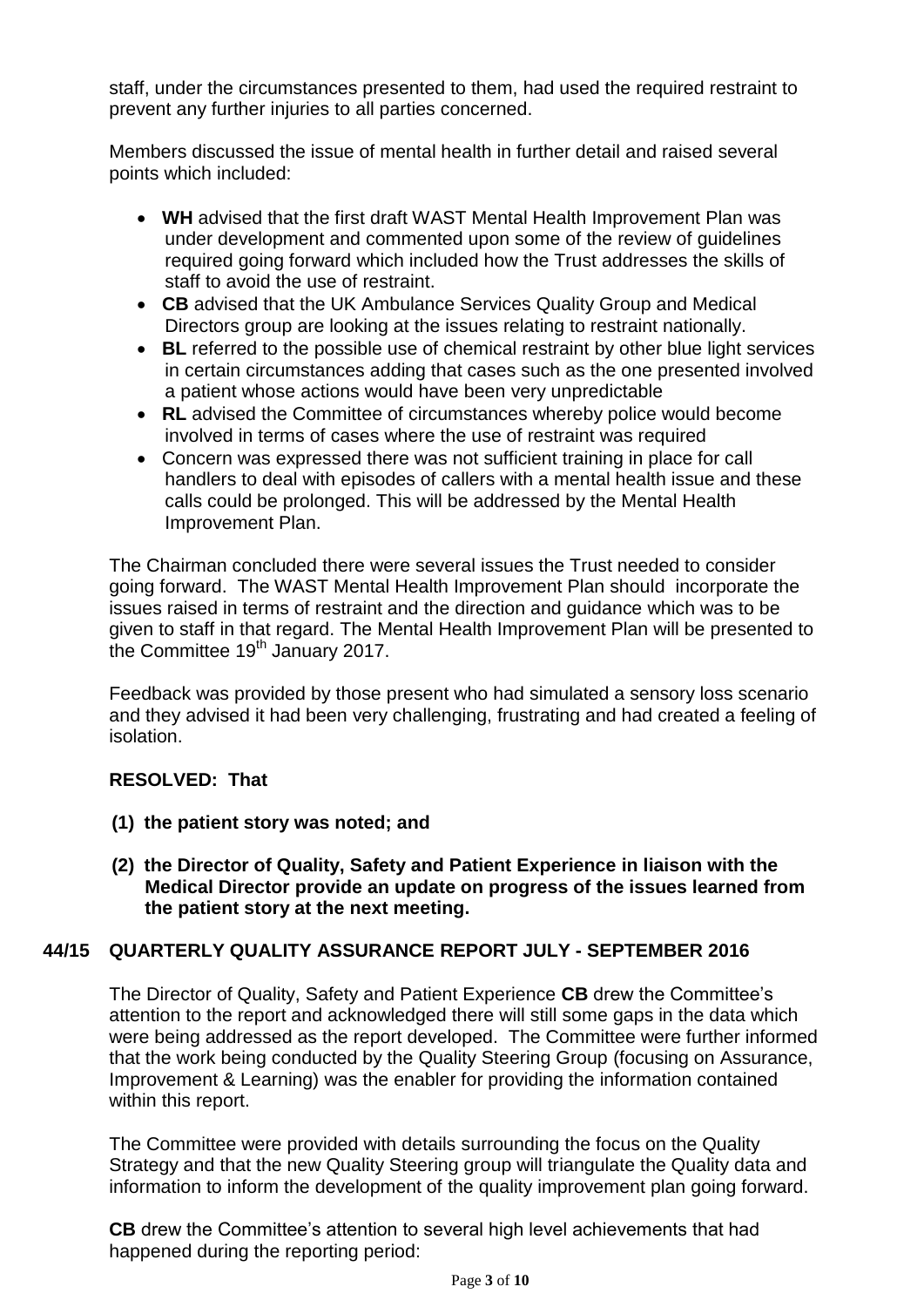staff, under the circumstances presented to them, had used the required restraint to prevent any further injuries to all parties concerned.

Members discussed the issue of mental health in further detail and raised several points which included:

- **WH** advised that the first draft WAST Mental Health Improvement Plan was under development and commented upon some of the review of guidelines required going forward which included how the Trust addresses the skills of staff to avoid the use of restraint.
- **CB** advised that the UK Ambulance Services Quality Group and Medical Directors group are looking at the issues relating to restraint nationally.
- **BL** referred to the possible use of chemical restraint by other blue light services in certain circumstances adding that cases such as the one presented involved a patient whose actions would have been very unpredictable
- **RL** advised the Committee of circumstances whereby police would become involved in terms of cases where the use of restraint was required
- Concern was expressed there was not sufficient training in place for call handlers to deal with episodes of callers with a mental health issue and these calls could be prolonged. This will be addressed by the Mental Health Improvement Plan.

The Chairman concluded there were several issues the Trust needed to consider going forward. The WAST Mental Health Improvement Plan should incorporate the issues raised in terms of restraint and the direction and guidance which was to be given to staff in that regard. The Mental Health Improvement Plan will be presented to the Committee 19<sup>th</sup> January 2017.

Feedback was provided by those present who had simulated a sensory loss scenario and they advised it had been very challenging, frustrating and had created a feeling of isolation.

# **RESOLVED: That**

- **(1) the patient story was noted; and**
- **(2) the Director of Quality, Safety and Patient Experience in liaison with the Medical Director provide an update on progress of the issues learned from the patient story at the next meeting.**

# **44/15 QUARTERLY QUALITY ASSURANCE REPORT JULY - SEPTEMBER 2016**

The Director of Quality, Safety and Patient Experience **CB** drew the Committee's attention to the report and acknowledged there will still some gaps in the data which were being addressed as the report developed. The Committee were further informed that the work being conducted by the Quality Steering Group (focusing on Assurance, Improvement & Learning) was the enabler for providing the information contained within this report.

The Committee were provided with details surrounding the focus on the Quality Strategy and that the new Quality Steering group will triangulate the Quality data and information to inform the development of the quality improvement plan going forward.

**CB** drew the Committee's attention to several high level achievements that had happened during the reporting period: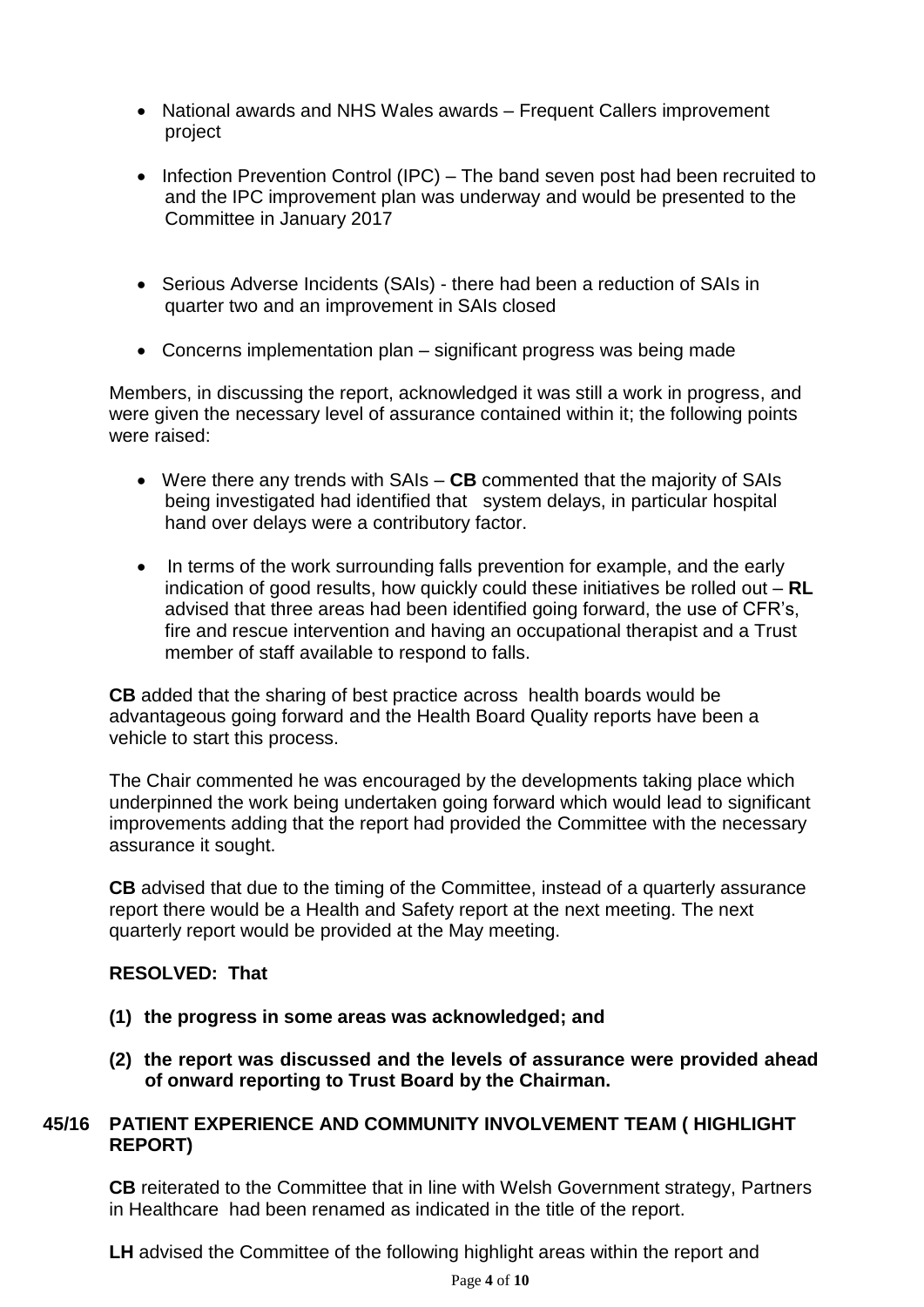- National awards and NHS Wales awards Frequent Callers improvement project
- Infection Prevention Control (IPC) The band seven post had been recruited to and the IPC improvement plan was underway and would be presented to the Committee in January 2017
- Serious Adverse Incidents (SAIs) there had been a reduction of SAIs in quarter two and an improvement in SAIs closed
- Concerns implementation plan significant progress was being made

Members, in discussing the report, acknowledged it was still a work in progress, and were given the necessary level of assurance contained within it; the following points were raised:

- Were there any trends with SAIs **CB** commented that the majority of SAIs being investigated had identified that system delays, in particular hospital hand over delays were a contributory factor.
- In terms of the work surrounding falls prevention for example, and the early indication of good results, how quickly could these initiatives be rolled out – **RL**  advised that three areas had been identified going forward, the use of CFR's, fire and rescue intervention and having an occupational therapist and a Trust member of staff available to respond to falls.

**CB** added that the sharing of best practice across health boards would be advantageous going forward and the Health Board Quality reports have been a vehicle to start this process.

The Chair commented he was encouraged by the developments taking place which underpinned the work being undertaken going forward which would lead to significant improvements adding that the report had provided the Committee with the necessary assurance it sought.

**CB** advised that due to the timing of the Committee, instead of a quarterly assurance report there would be a Health and Safety report at the next meeting. The next quarterly report would be provided at the May meeting.

# **RESOLVED: That**

- **(1) the progress in some areas was acknowledged; and**
- **(2) the report was discussed and the levels of assurance were provided ahead of onward reporting to Trust Board by the Chairman.**

# **45/16 PATIENT EXPERIENCE AND COMMUNITY INVOLVEMENT TEAM ( HIGHLIGHT REPORT)**

**CB** reiterated to the Committee that in line with Welsh Government strategy, Partners in Healthcare had been renamed as indicated in the title of the report.

**LH** advised the Committee of the following highlight areas within the report and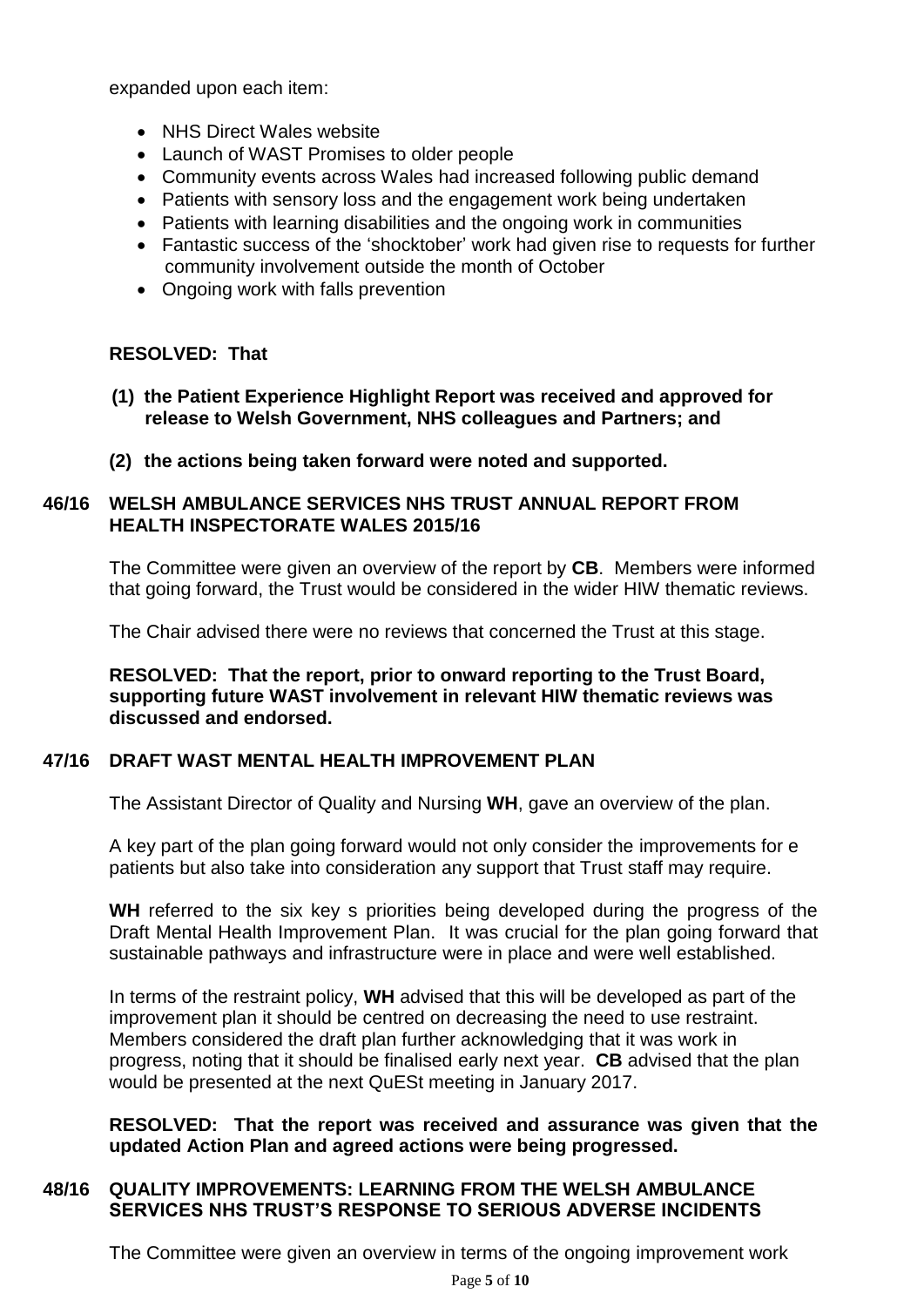expanded upon each item:

- NHS Direct Wales website
- Launch of WAST Promises to older people
- Community events across Wales had increased following public demand
- Patients with sensory loss and the engagement work being undertaken
- Patients with learning disabilities and the ongoing work in communities
- Fantastic success of the 'shocktober' work had given rise to requests for further community involvement outside the month of October
- Ongoing work with falls prevention

# **RESOLVED: That**

- **(1) the Patient Experience Highlight Report was received and approved for release to Welsh Government, NHS colleagues and Partners; and**
- **(2) the actions being taken forward were noted and supported.**

# **46/16 WELSH AMBULANCE SERVICES NHS TRUST ANNUAL REPORT FROM HEALTH INSPECTORATE WALES 2015/16**

The Committee were given an overview of the report by **CB**. Members were informed that going forward, the Trust would be considered in the wider HIW thematic reviews.

The Chair advised there were no reviews that concerned the Trust at this stage.

**RESOLVED: That the report, prior to onward reporting to the Trust Board, supporting future WAST involvement in relevant HIW thematic reviews was discussed and endorsed.**

# **47/16 DRAFT WAST MENTAL HEALTH IMPROVEMENT PLAN**

The Assistant Director of Quality and Nursing **WH**, gave an overview of the plan.

A key part of the plan going forward would not only consider the improvements for e patients but also take into consideration any support that Trust staff may require.

WH referred to the six key s priorities being developed during the progress of the Draft Mental Health Improvement Plan. It was crucial for the plan going forward that sustainable pathways and infrastructure were in place and were well established.

In terms of the restraint policy, **WH** advised that this will be developed as part of the improvement plan it should be centred on decreasing the need to use restraint. Members considered the draft plan further acknowledging that it was work in progress, noting that it should be finalised early next year. **CB** advised that the plan would be presented at the next QuESt meeting in January 2017.

**RESOLVED: That the report was received and assurance was given that the updated Action Plan and agreed actions were being progressed.**

# **48/16 QUALITY IMPROVEMENTS: LEARNING FROM THE WELSH AMBULANCE SERVICES NHS TRUST'S RESPONSE TO SERIOUS ADVERSE INCIDENTS**

The Committee were given an overview in terms of the ongoing improvement work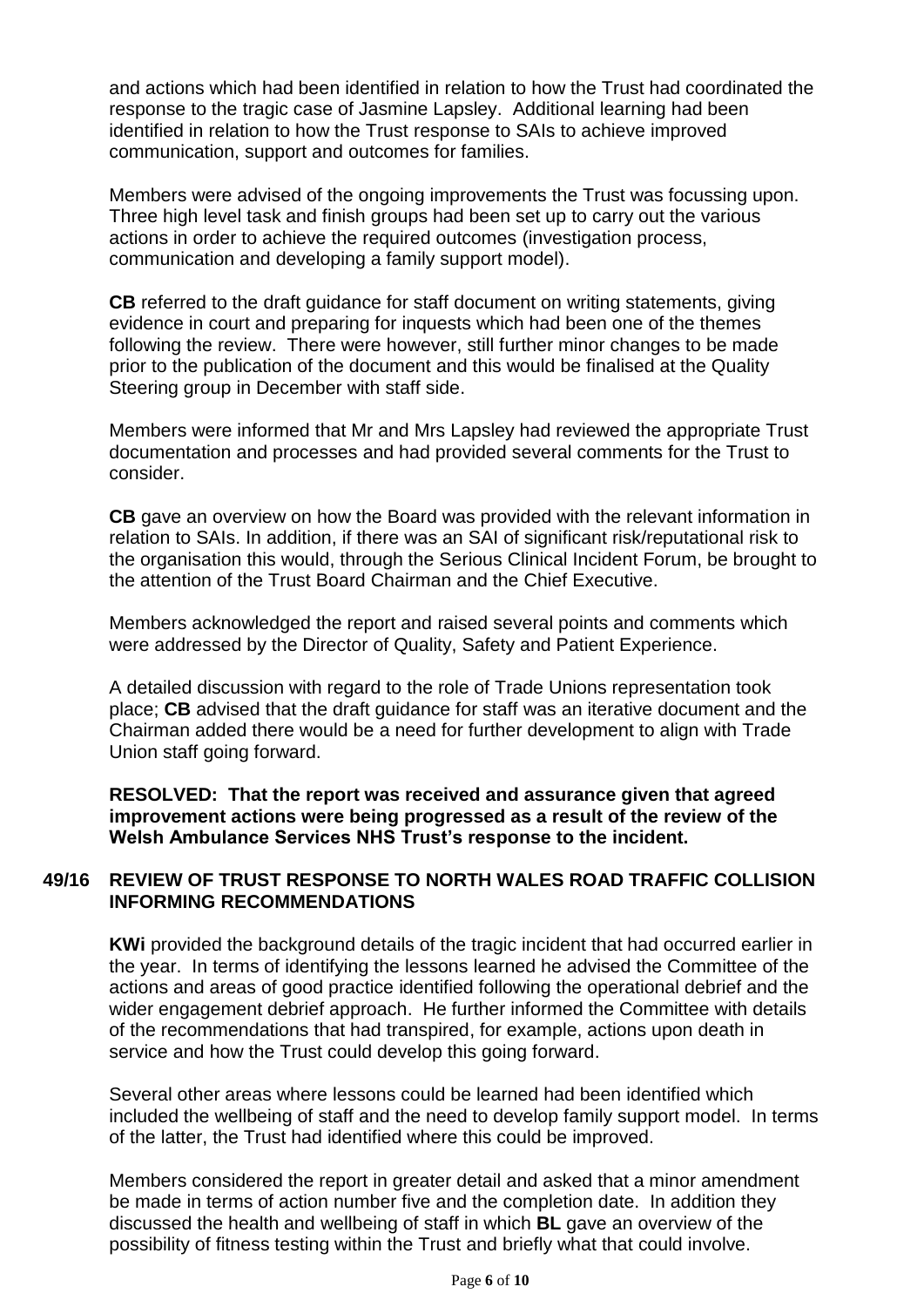and actions which had been identified in relation to how the Trust had coordinated the response to the tragic case of Jasmine Lapsley. Additional learning had been identified in relation to how the Trust response to SAIs to achieve improved communication, support and outcomes for families.

Members were advised of the ongoing improvements the Trust was focussing upon. Three high level task and finish groups had been set up to carry out the various actions in order to achieve the required outcomes (investigation process, communication and developing a family support model).

**CB** referred to the draft guidance for staff document on writing statements, giving evidence in court and preparing for inquests which had been one of the themes following the review. There were however, still further minor changes to be made prior to the publication of the document and this would be finalised at the Quality Steering group in December with staff side.

Members were informed that Mr and Mrs Lapsley had reviewed the appropriate Trust documentation and processes and had provided several comments for the Trust to consider.

**CB** gave an overview on how the Board was provided with the relevant information in relation to SAIs. In addition, if there was an SAI of significant risk/reputational risk to the organisation this would, through the Serious Clinical Incident Forum, be brought to the attention of the Trust Board Chairman and the Chief Executive.

Members acknowledged the report and raised several points and comments which were addressed by the Director of Quality, Safety and Patient Experience.

A detailed discussion with regard to the role of Trade Unions representation took place; **CB** advised that the draft guidance for staff was an iterative document and the Chairman added there would be a need for further development to align with Trade Union staff going forward.

**RESOLVED: That the report was received and assurance given that agreed improvement actions were being progressed as a result of the review of the Welsh Ambulance Services NHS Trust's response to the incident.**

### **49/16 REVIEW OF TRUST RESPONSE TO NORTH WALES ROAD TRAFFIC COLLISION INFORMING RECOMMENDATIONS**

**KWi** provided the background details of the tragic incident that had occurred earlier in the year. In terms of identifying the lessons learned he advised the Committee of the actions and areas of good practice identified following the operational debrief and the wider engagement debrief approach. He further informed the Committee with details of the recommendations that had transpired, for example, actions upon death in service and how the Trust could develop this going forward.

Several other areas where lessons could be learned had been identified which included the wellbeing of staff and the need to develop family support model. In terms of the latter, the Trust had identified where this could be improved.

Members considered the report in greater detail and asked that a minor amendment be made in terms of action number five and the completion date. In addition they discussed the health and wellbeing of staff in which **BL** gave an overview of the possibility of fitness testing within the Trust and briefly what that could involve.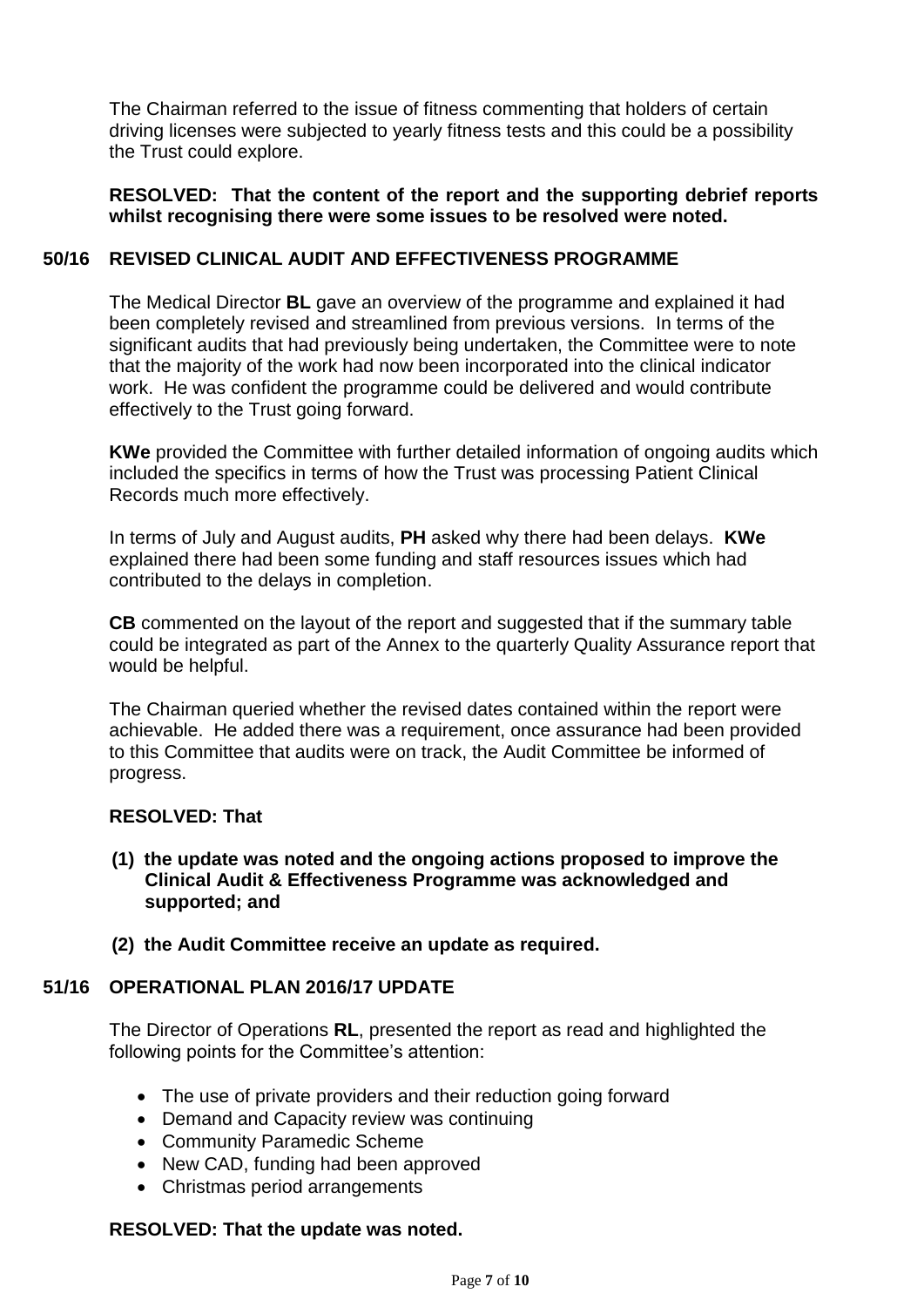The Chairman referred to the issue of fitness commenting that holders of certain driving licenses were subjected to yearly fitness tests and this could be a possibility the Trust could explore.

#### **RESOLVED: That the content of the report and the supporting debrief reports whilst recognising there were some issues to be resolved were noted.**

#### **50/16 REVISED CLINICAL AUDIT AND EFFECTIVENESS PROGRAMME**

The Medical Director **BL** gave an overview of the programme and explained it had been completely revised and streamlined from previous versions. In terms of the significant audits that had previously being undertaken, the Committee were to note that the majority of the work had now been incorporated into the clinical indicator work. He was confident the programme could be delivered and would contribute effectively to the Trust going forward.

**KWe** provided the Committee with further detailed information of ongoing audits which included the specifics in terms of how the Trust was processing Patient Clinical Records much more effectively.

In terms of July and August audits, **PH** asked why there had been delays. **KWe** explained there had been some funding and staff resources issues which had contributed to the delays in completion.

**CB** commented on the layout of the report and suggested that if the summary table could be integrated as part of the Annex to the quarterly Quality Assurance report that would be helpful.

The Chairman queried whether the revised dates contained within the report were achievable. He added there was a requirement, once assurance had been provided to this Committee that audits were on track, the Audit Committee be informed of progress.

#### **RESOLVED: That**

- **(1) the update was noted and the ongoing actions proposed to improve the Clinical Audit & Effectiveness Programme was acknowledged and supported; and**
- **(2) the Audit Committee receive an update as required.**

#### **51/16 OPERATIONAL PLAN 2016/17 UPDATE**

The Director of Operations **RL**, presented the report as read and highlighted the following points for the Committee's attention:

- The use of private providers and their reduction going forward
- Demand and Capacity review was continuing
- Community Paramedic Scheme
- New CAD, funding had been approved
- Christmas period arrangements

### **RESOLVED: That the update was noted.**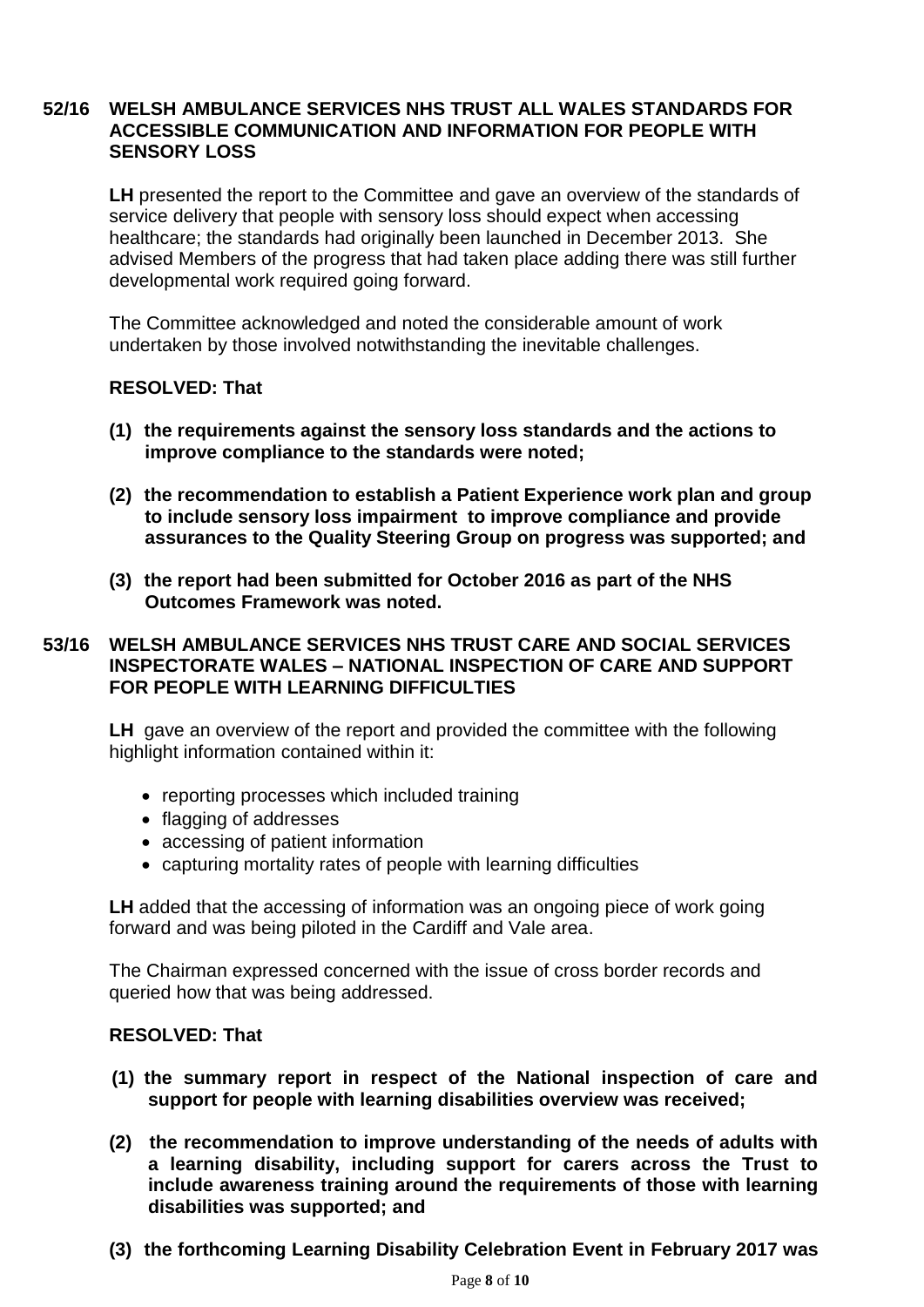### **52/16 WELSH AMBULANCE SERVICES NHS TRUST ALL WALES STANDARDS FOR ACCESSIBLE COMMUNICATION AND INFORMATION FOR PEOPLE WITH SENSORY LOSS**

**LH** presented the report to the Committee and gave an overview of the standards of service delivery that people with sensory loss should expect when accessing healthcare; the standards had originally been launched in December 2013. She advised Members of the progress that had taken place adding there was still further developmental work required going forward.

The Committee acknowledged and noted the considerable amount of work undertaken by those involved notwithstanding the inevitable challenges.

### **RESOLVED: That**

- **(1) the requirements against the sensory loss standards and the actions to improve compliance to the standards were noted;**
- **(2) the recommendation to establish a Patient Experience work plan and group to include sensory loss impairment to improve compliance and provide assurances to the Quality Steering Group on progress was supported; and**
- **(3) the report had been submitted for October 2016 as part of the NHS Outcomes Framework was noted.**

### **53/16 WELSH AMBULANCE SERVICES NHS TRUST CARE AND SOCIAL SERVICES INSPECTORATE WALES – NATIONAL INSPECTION OF CARE AND SUPPORT FOR PEOPLE WITH LEARNING DIFFICULTIES**

**LH** gave an overview of the report and provided the committee with the following highlight information contained within it:

- reporting processes which included training
- flagging of addresses
- accessing of patient information
- capturing mortality rates of people with learning difficulties

**LH** added that the accessing of information was an ongoing piece of work going forward and was being piloted in the Cardiff and Vale area.

The Chairman expressed concerned with the issue of cross border records and queried how that was being addressed.

### **RESOLVED: That**

- **(1) the summary report in respect of the National inspection of care and support for people with learning disabilities overview was received;**
- **(2) the recommendation to improve understanding of the needs of adults with a learning disability, including support for carers across the Trust to include awareness training around the requirements of those with learning disabilities was supported; and**
- **(3) the forthcoming Learning Disability Celebration Event in February 2017 was**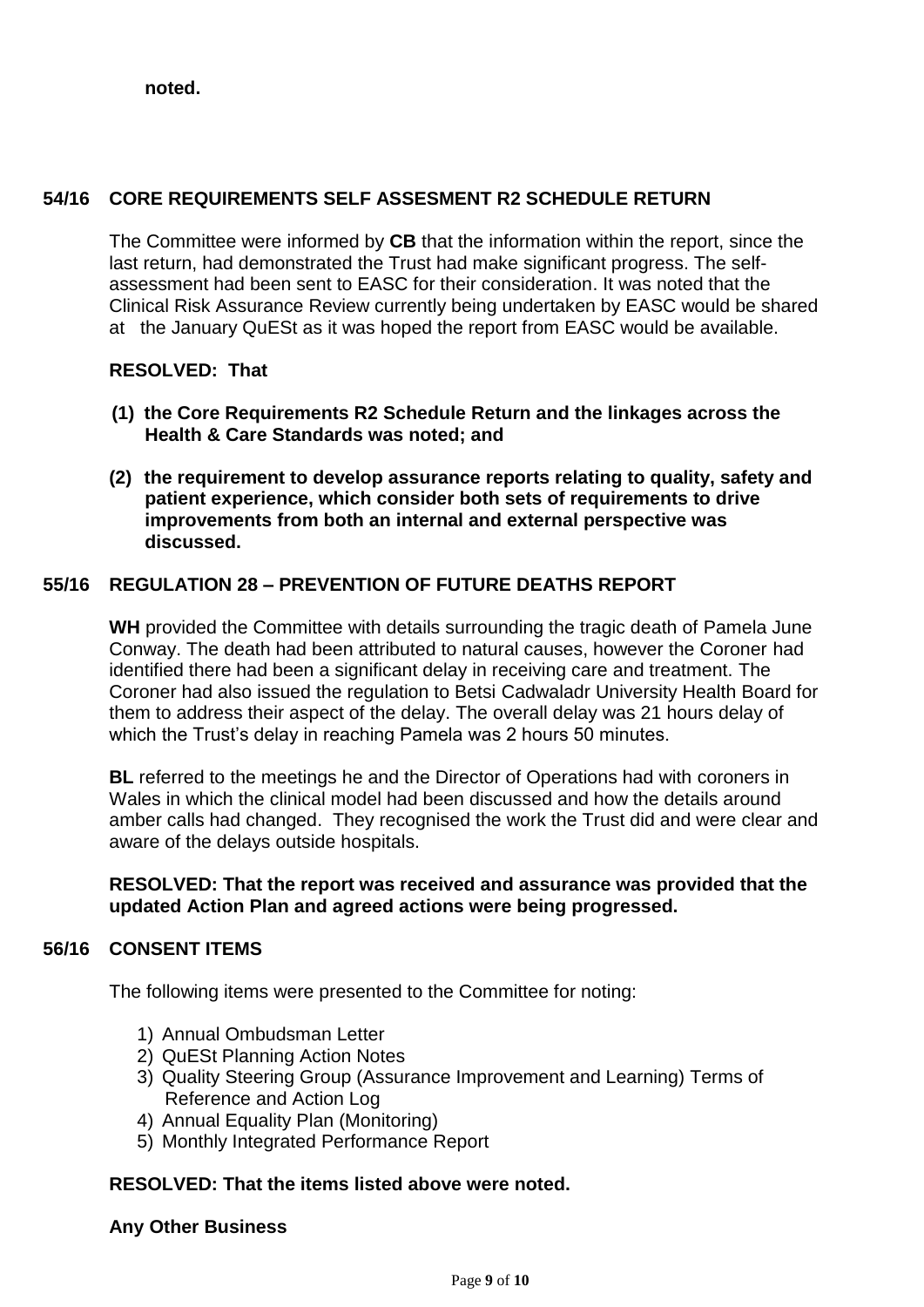**noted.**

# **54/16 CORE REQUIREMENTS SELF ASSESMENT R2 SCHEDULE RETURN**

The Committee were informed by **CB** that the information within the report, since the last return, had demonstrated the Trust had make significant progress. The selfassessment had been sent to EASC for their consideration. It was noted that the Clinical Risk Assurance Review currently being undertaken by EASC would be shared at the January QuESt as it was hoped the report from EASC would be available.

# **RESOLVED: That**

- **(1) the Core Requirements R2 Schedule Return and the linkages across the Health & Care Standards was noted; and**
- **(2) the requirement to develop assurance reports relating to quality, safety and patient experience, which consider both sets of requirements to drive improvements from both an internal and external perspective was discussed.**

# **55/16 REGULATION 28 – PREVENTION OF FUTURE DEATHS REPORT**

**WH** provided the Committee with details surrounding the tragic death of Pamela June Conway. The death had been attributed to natural causes, however the Coroner had identified there had been a significant delay in receiving care and treatment. The Coroner had also issued the regulation to Betsi Cadwaladr University Health Board for them to address their aspect of the delay. The overall delay was 21 hours delay of which the Trust's delay in reaching Pamela was 2 hours 50 minutes.

**BL** referred to the meetings he and the Director of Operations had with coroners in Wales in which the clinical model had been discussed and how the details around amber calls had changed. They recognised the work the Trust did and were clear and aware of the delays outside hospitals.

#### **RESOLVED: That the report was received and assurance was provided that the updated Action Plan and agreed actions were being progressed.**

### **56/16 CONSENT ITEMS**

The following items were presented to the Committee for noting:

- 1) Annual Ombudsman Letter
- 2) QuESt Planning Action Notes
- 3) Quality Steering Group (Assurance Improvement and Learning) Terms of Reference and Action Log
- 4) Annual Equality Plan (Monitoring)
- 5) Monthly Integrated Performance Report

## **RESOLVED: That the items listed above were noted.**

### **Any Other Business**